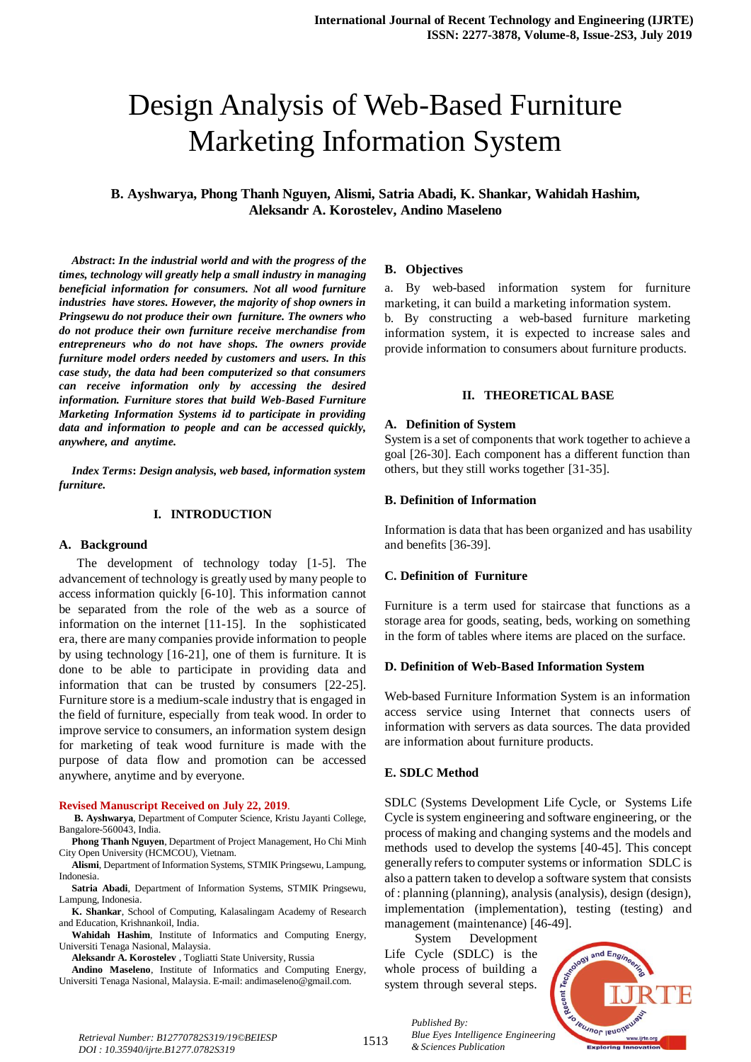# Design Analysis of Web-Based Furniture Marketing Information System

**B. Ayshwarya, Phong Thanh Nguyen, Alismi, Satria Abadi, K. Shankar, Wahidah Hashim, Aleksandr A. Korostelev, Andino Maseleno**

*Abstract***:** *In the industrial world and with the progress of the times, technology will greatly help a small industry in managing beneficial information for consumers. Not all wood furniture industries have stores. However, the majority of shop owners in Pringsewu do not produce their own furniture. The owners who do not produce their own furniture receive merchandise from entrepreneurs who do not have shops. The owners provide furniture model orders needed by customers and users. In this case study, the data had been computerized so that consumers can receive information only by accessing the desired information. Furniture stores that build Web-Based Furniture Marketing Information Systems id to participate in providing data and information to people and can be accessed quickly, anywhere, and anytime.*

*Index Terms***:** *Design analysis, web based, information system furniture.* 

# **I. INTRODUCTION**

#### **A. Background**

The development of technology today [1-5]. The advancement of technology is greatly used by many people to access information quickly [6-10]. This information cannot be separated from the role of the web as a source of information on the internet [11-15]. In the sophisticated era, there are many companies provide information to people by using technology [16-21], one of them is furniture. It is done to be able to participate in providing data and information that can be trusted by consumers [22-25]. Furniture store is a medium-scale industry that is engaged in the field of furniture, especially from teak wood. In order to improve service to consumers, an information system design for marketing of teak wood furniture is made with the purpose of data flow and promotion can be accessed anywhere, anytime and by everyone.

#### **Revised Manuscript Received on July 22, 2019**.

**B. Ayshwarya**, Department of Computer Science, Kristu Jayanti College, Bangalore-560043, India.

**Phong Thanh Nguyen**, Department of Project Management, Ho Chi Minh City Open University (HCMCOU), Vietnam.

**Alismi**, Department of Information Systems, STMIK Pringsewu, Lampung, Indonesia.

**Satria Abadi**, Department of Information Systems, STMIK Pringsewu, Lampung, Indonesia.

**K. Shankar**, School of Computing, Kalasalingam Academy of Research and Education, Krishnankoil, India.

**Wahidah Hashim**, Institute of Informatics and Computing Energy, Universiti Tenaga Nasional, Malaysia.

**Aleksandr A. Korostelev** , Togliatti State University, Russia

**Andino Maseleno**, Institute of Informatics and Computing Energy, Universiti Tenaga Nasional, Malaysia. E-mail: andimaseleno@gmail.com.

#### **B. Objectives**

a. By web-based information system for furniture marketing, it can build a marketing information system. b. By constructing a web-based furniture marketing information system, it is expected to increase sales and provide information to consumers about furniture products.

# **II. THEORETICAL BASE**

#### **A. Definition of System**

System is a set of components that work together to achieve a goal [26-30]. Each component has a different function than others, but they still works together [31-35].

### **B. Definition of Information**

Information is data that has been organized and has usability and benefits [36-39].

# **C. Definition of Furniture**

Furniture is a term used for staircase that functions as a storage area for goods, seating, beds, working on something in the form of tables where items are placed on the surface.

#### **D. Definition of Web-Based Information System**

Web-based Furniture Information System is an information access service using Internet that connects users of information with servers as data sources. The data provided are information about furniture products.

# **E. SDLC Method**

SDLC (Systems Development Life Cycle, or Systems Life Cycle is system engineering and software engineering, or the process of making and changing systems and the models and methods used to develop the systems [40-45]. This concept generally refers to computer systems or information SDLC is also a pattern taken to develop a software system that consists of : planning (planning), analysis (analysis), design (design), implementation (implementation), testing (testing) and management (maintenance) [46-49].

System Development Life Cycle (SDLC) is the whole process of building a system through several steps.



*Retrieval Number: B12770782S319/19©BEIESP DOI : 10.35940/ijrte.B1277.0782S319*

1513

*Published By: Blue Eyes Intelligence Engineering & Sciences Publication*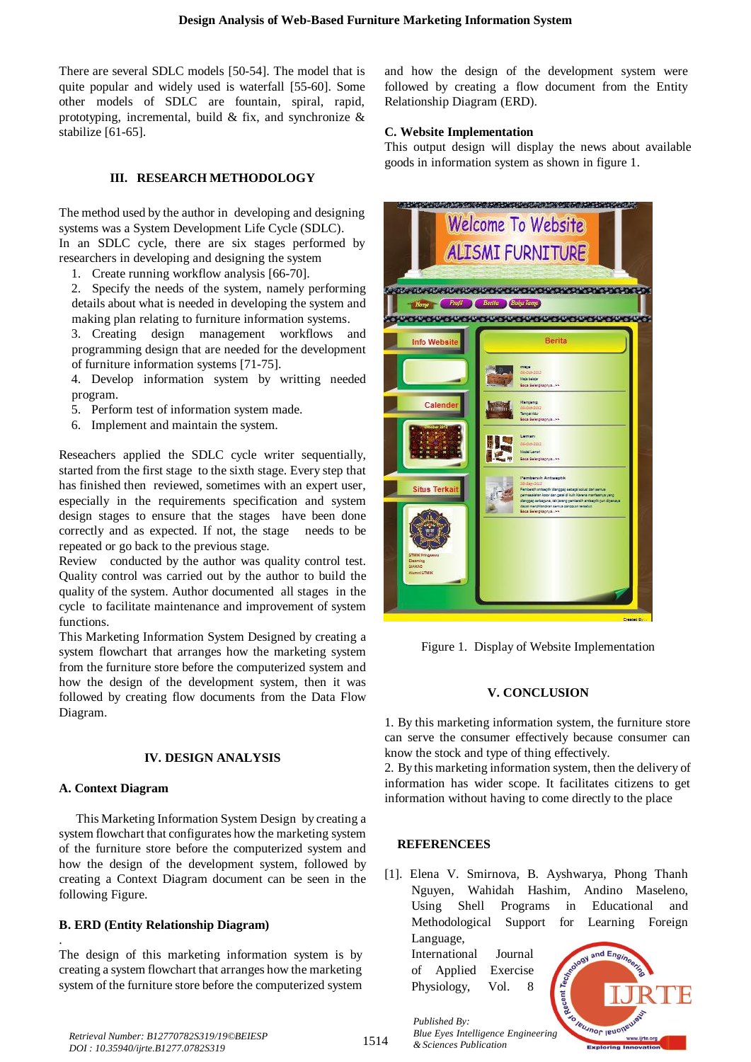There are several SDLC models [50-54]. The model that is quite popular and widely used is waterfall [55-60]. Some other models of SDLC are fountain, spiral, rapid, prototyping, incremental, build & fix, and synchronize  $\&$ stabilize [61-65].

# **III. RESEARCH METHODOLOGY**

The method used by the author in developing and designing systems was a System Development Life Cycle (SDLC). In an SDLC cycle, there are six stages performed by

researchers in developing and designing the system

1. Create running workflow analysis [66-70].

2. Specify the needs of the system, namely performing details about what is needed in developing the system and making plan relating to furniture information systems.

3. Creating design management workflows and programming design that are needed for the development of furniture information systems [71-75].

4. Develop information system by writting needed program.

- 5. Perform test of information system made.
- 6. Implement and maintain the system.

Reseachers applied the SDLC cycle writer sequentially, started from the first stage to the sixth stage. Every step that has finished then reviewed, sometimes with an expert user, especially in the requirements specification and system design stages to ensure that the stages have been done correctly and as expected. If not, the stage needs to be repeated or go back to the previous stage.

Review conducted by the author was quality control test. Quality control was carried out by the author to build the quality of the system. Author documented all stages in the cycle to facilitate maintenance and improvement of system functions.

This Marketing Information System Designed by creating a system flowchart that arranges how the marketing system from the furniture store before the computerized system and how the design of the development system, then it was followed by creating flow documents from the Data Flow Diagram.

# **IV. DESIGN ANALYSIS**

# **A. Context Diagram**

.

This Marketing Information System Design by creating a system flowchart that configurates how the marketing system of the furniture store before the computerized system and how the design of the development system, followed by creating a Context Diagram document can be seen in the following Figure.

# **B. ERD (Entity Relationship Diagram)**

The design of this marketing information system is by creating a system flowchart that arranges how the marketing system of the furniture store before the computerized system

and how the design of the development system were followed by creating a flow document from the Entity Relationship Diagram (ERD).

# **C. Website Implementation**

This output design will display the news about available goods in information system as shown in figure 1.



Figure 1. Display of Website Implementation

# **V. CONCLUSION**

1. By this marketing information system, the furniture store can serve the consumer effectively because consumer can know the stock and type of thing effectively.

2. By this marketing information system, then the delivery of information has wider scope. It facilitates citizens to get information without having to come directly to the place

# **REFERENCEES**

*Published By:*

*& Sciences Publication* 

[1]. Elena V. Smirnova, B. Ayshwarya, Phong Thanh Nguyen, Wahidah Hashim, Andino Maseleno, Using Shell Programs in Educational and Methodological Support for Learning Foreign Language,

International Journal of Applied Exercise Physiology, Vol. 8



*Retrieval Number: B12770782S319/19©BEIESP DOI : 10.35940/ijrte.B1277.0782S319*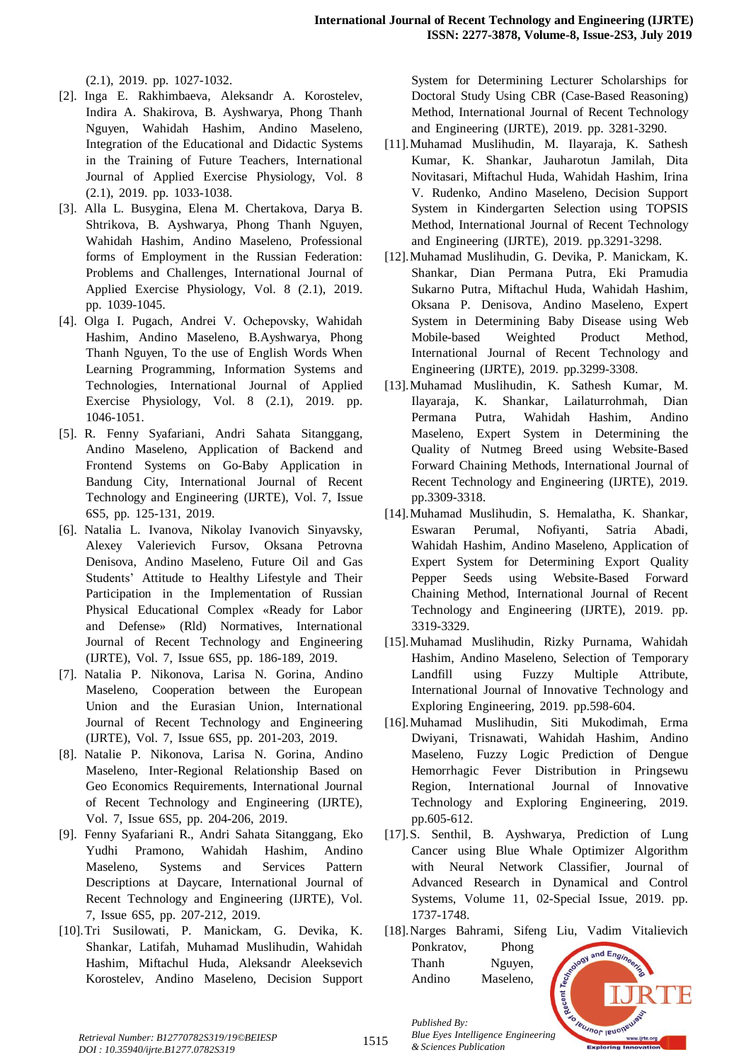$(2.1)$ , 2019. pp. 1027-1032.

- [2]. Inga E. Rakhimbaeva, Aleksandr A. Korostelev, Indira A. Shakirova, B. Ayshwarya, Phong Thanh Nguyen, Wahidah Hashim, Andino Maseleno, Integration of the Educational and Didactic Systems in the Training of Future Teachers, International Journal of Applied Exercise Physiology, Vol. 8  $(2.1)$ , 2019. pp. 1033-1038.
- [3]. Alla L. Busygina, Elena M. Chertakova, Darya B. Shtrikova, B. Ayshwarya, Phong Thanh Nguyen, Wahidah Hashim, Andino Maseleno, Professional forms of Employment in the Russian Federation: Problems and Challenges, International Journal of Applied Exercise Physiology, Vol. 8 (2.1), 2019. pp. 1039-1045.
- [4]. Olga I. Pugach, Andrei V. Ochepovsky, Wahidah Hashim, Andino Maseleno, B.Ayshwarya, Phong Thanh Nguyen, To the use of English Words When Learning Programming, Information Systems and Technologies, International Journal of Applied Exercise Physiology, Vol. 8  $(2.1)$ , 2019. pp. 1046-1051.<sup>T</sup>
- [5]. R. Fenny Syafariani, Andri Sahata Sitanggang, Andino Maseleno, Application of Backend and Frontend Systems on Go-Baby Application in Bandung City, International Journal of Recent Technology and Engineering (IJRTE), Vol. 7, Issue 6S5, pp. 125-131, 2019.
- [6]. Natalia L. Ivanova, Nikolay Ivanovich Sinyavsky, Alexey Valerievich Fursov, Oksana Petrovna Denisova, Andino Maseleno, Future Oil and Gas Students' Attitude to Healthy Lifestyle and Their Participation in the Implementation of Russian Physical Educational Complex «Ready for Labor and Defense» (Rld) Normatives, International Journal of Recent Technology and Engineering (IJRTE), Vol. 7, Issue 6S5, pp. 186-189, 2019.
- [7]. Natalia P. Nikonova, Larisa N. Gorina, Andino Maseleno, Cooperation between the European Union and the Eurasian Union, International Journal of Recent Technology and Engineering (IJRTE), Vol. 7, Issue 6S5, pp. 201-203, 2019.
- [8]. Natalie P. Nikonova, Larisa N. Gorina, Andino Maseleno, Inter-Regional Relationship Based on Geo Economics Requirements, International Journal of Recent Technology and Engineering (IJRTE), Vol. 7, Issue 6S5, pp. 204-206, 2019.
- [9]. Fenny Syafariani R., Andri Sahata Sitanggang, Eko Yudhi Pramono, Wahidah Hashim, Andino Maseleno, Systems and Services Pattern Descriptions at Daycare, International Journal of Recent Technology and Engineering (IJRTE), Vol. 7, Issue 6S5, pp. 207-212, 2019.
- [10].Tri Susilowati, P. Manickam, G. Devika, K. Shankar, Latifah, Muhamad Muslihudin, Wahidah Hashim, Miftachul Huda, Aleksandr Aleeksevich Korostelev, Andino Maseleno, Decision Support

System for Determining Lecturer Scholarships for Doctoral Study Using CBR (Case-Based Reasoning) Method, International Journal of Recent Technology and Engineering (IJRTE), 2019. pp. 3281-3290.

- [11].Muhamad Muslihudin, M. Ilayaraja, K. Sathesh Kumar, K. Shankar, Jauharotun Jamilah, Dita Novitasari, Miftachul Huda, Wahidah Hashim, Irina V. Rudenko, Andino Maseleno, Decision Support System in Kindergarten Selection using TOPSIS Method, International Journal of Recent Technology and Engineering (IJRTE), 2019. pp.3291-3298.
- [12].Muhamad Muslihudin, G. Devika, P. Manickam, K. Shankar, Dian Permana Putra, Eki Pramudia Sukarno Putra, Miftachul Huda, Wahidah Hashim, Oksana P. Denisova, Andino Maseleno, Expert System in Determining Baby Disease using Web Mobile-based Weighted Product Method, International Journal of Recent Technology and Engineering (IJRTE), 2019. pp.3299-3308.
- [13].Muhamad Muslihudin, K. Sathesh Kumar, M. Ilayaraja, K. Shankar, Lailaturrohmah, Dian Permana Putra, Wahidah Hashim, Andino Maseleno, Expert System in Determining the Quality of Nutmeg Breed using Website-Based Forward Chaining Methods, International Journal of Recent Technology and Engineering (IJRTE), 2019. pp.3309-3318.
- [14]. Muhamad Muslihudin, S. Hemalatha, K. Shankar, Eswaran Perumal, Nofiyanti, Satria Abadi, Wahidah Hashim, Andino Maseleno, Application of Expert System for Determining Export Quality Pepper Seeds using Website-Based Forward Chaining Method, International Journal of Recent Technology and Engineering (IJRTE), 2019. pp. 3319-3329.
- [15].Muhamad Muslihudin, Rizky Purnama, Wahidah Hashim, Andino Maseleno, Selection of Temporary Landfill using Fuzzy Multiple Attribute, International Journal of Innovative Technology and Exploring Engineering, 2019. pp.598-604.
- [16].Muhamad Muslihudin, Siti Mukodimah, Erma Dwiyani, Trisnawati, Wahidah Hashim, Andino Maseleno, Fuzzy Logic Prediction of Dengue Hemorrhagic Fever Distribution in Pringsewu Region, International Journal of Innovative Technology and Exploring Engineering, 2019. pp.605-612.
- [17].S. Senthil, B. Ayshwarya, Prediction of Lung Cancer using Blue Whale Optimizer Algorithm with Neural Network Classifier, Journal of Advanced Research in Dynamical and Control Systems, Volume 11, 02-Special Issue, 2019. pp. 1737-1748.
- [18].Narges Bahrami, Sifeng Liu, Vadim Vitalievich Ponkratov, Phong and Engi Thanh Nguyen, Andino Maseleno,



*Retrieval Number: B12770782S319/19©BEIESP DOI : 10.35940/ijrte.B1277.0782S319*

*Published By:*

*& Sciences Publication*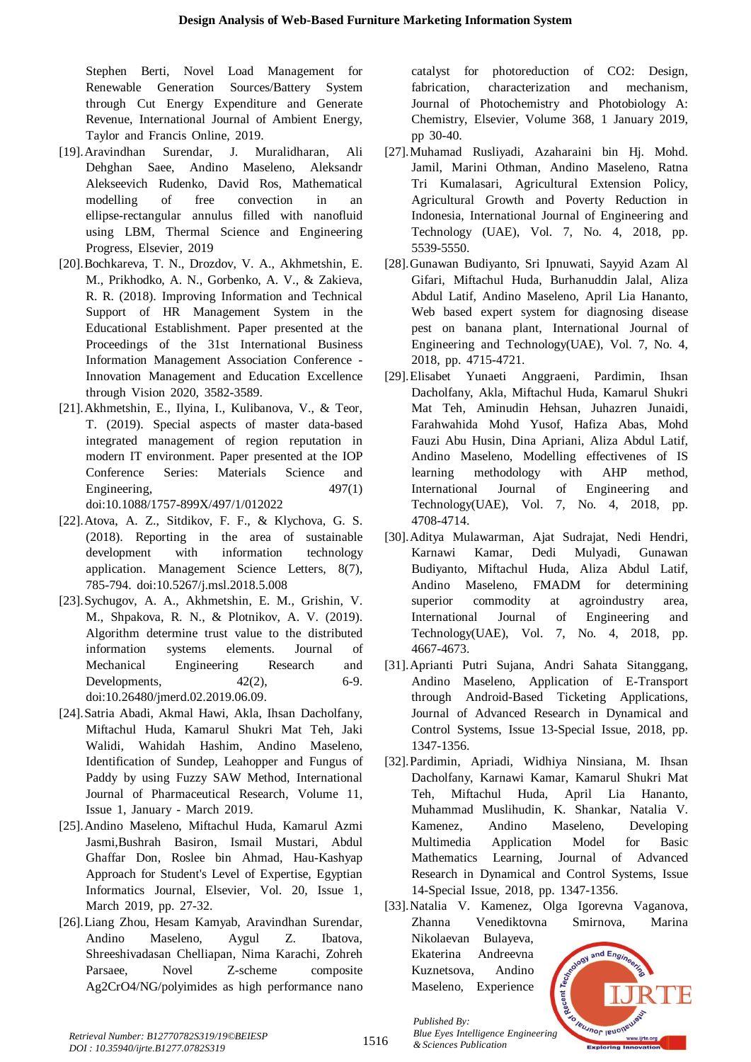Stephen Berti, Novel Load Management for Renewable Generation Sources/Battery System through Cut Energy Expenditure and Generate Revenue, International Journal of Ambient Energy, Taylor and Francis Online, 2019.

- [19].Aravindhan Surendar, J. Muralidharan, Ali Dehghan Saee, Andino Maseleno, Aleksandr Alekseevich Rudenko, David Ros, Mathematical modelling of free convection in an ellipse-rectangular annulus filled with nanofluid using LBM, Thermal Science and Engineering Progress, Elsevier, 2019
- [20].Bochkareva, T. N., Drozdov, V. A., Akhmetshin, E. M., Prikhodko, A. N., Gorbenko, A. V., & Zakieva, R. R. (2018). Improving Information and Technical Support of HR Management System in the Educational Establishment. Paper presented at the Proceedings of the 31st International Business Information Management Association Conference -Innovation Management and Education Excellence through Vision 2020, 3582-3589.
- [21].Akhmetshin, E., Ilyina, I., Kulibanova, V., & Teor, T. (2019). Special aspects of master data-based integrated management of region reputation in modern IT environment. Paper presented at the IOP Conference Series: Materials Science and Engineering,  $497(1)$ doi:10.1088/1757-899X/497/1/012022
- [22].Atova, A. Z., Sitdikov, F. F., & Klychova, G. S.  $(2018)$ . Reporting in the area of sustainable development with information technology application. Management Science Letters, 8(7), 785-794. doi:10.5267/j.msl.2018.5.008
- [23].Sychugov, A. A., Akhmetshin, E. M., Grishin, V. M., Shpakova, R. N., & Plotnikov, A. V. (2019). Algorithm determine trust value to the distributed information systems elements. Journal of Mechanical Engineering Research and Developments,  $42(2)$ , 6-9. doi:10.26480/jmerd.02.2019.06.09.
- [24].Satria Abadi, Akmal Hawi, Akla, Ihsan Dacholfany, Miftachul Huda, Kamarul Shukri Mat Teh, Jaki Walidi, Wahidah Hashim, Andino Maseleno, Identification of Sundep, Leahopper and Fungus of Paddy by using Fuzzy SAW Method, International Journal of Pharmaceutical Research, Volume 11, Issue 1, January - March 2019.
- [25].Andino Maseleno, Miftachul Huda, Kamarul Azmi Jasmi,Bushrah Basiron, Ismail Mustari, Abdul Ghaffar Don, Roslee bin Ahmad, Hau-Kashyap Approach for Student's Level of Expertise, Egyptian Informatics Journal, Elsevier, Vol. 20, Issue 1, March 2019, pp. 27-32.
- [26].Liang Zhou, Hesam Kamyab, Aravindhan Surendar, Andino Maseleno, Aygul Z. Ibatova, Shreeshivadasan Chelliapan, Nima Karachi, Zohreh Parsaee, Novel Z-scheme composite Ag2CrO4/NG/polyimides as high performance nano

catalyst for photoreduction of CO2: Design, fabrication, characterization and mechanism, Journal of Photochemistry and Photobiology A: Chemistry, Elsevier, Volume 368, 1 January 2019, pp 30-40.

- [27].Muhamad Rusliyadi, Azaharaini bin Hj. Mohd. Jamil, Marini Othman, Andino Maseleno, Ratna Tri Kumalasari, Agricultural Extension Policy, Agricultural Growth and Poverty Reduction in Indonesia, International Journal of Engineering and Technology (UAE), Vol. 7, No. 4,  $2018$ , pp. 5539-5550.
- [28].Gunawan Budiyanto, Sri Ipnuwati, Sayyid Azam Al Gifari, Miftachul Huda, Burhanuddin Jalal, Aliza Abdul Latif, Andino Maseleno, April Lia Hananto, Web based expert system for diagnosing disease pest on banana plant, International Journal of Engineering and Technology(UAE), Vol. 7, No. 4, 2018, pp. 4715-4721.
- [29].Elisabet Yunaeti Anggraeni, Pardimin, Ihsan Dacholfany, Akla, Miftachul Huda, Kamarul Shukri Mat Teh, Aminudin Hehsan, Juhazren Junaidi, Farahwahida Mohd Yusof, Hafiza Abas, Mohd Fauzi Abu Husin, Dina Apriani, Aliza Abdul Latif, Andino Maseleno, Modelling effectivenes of IS learning methodology with AHP method, International Journal of Engineering and Technology(UAE), Vol. 7, No. 4,  $2018$ , pp. 4708-4714.<sup>T</sup>
- [30]. Aditya Mulawarman, Ajat Sudrajat, Nedi Hendri, Karnawi Kamar, Dedi Mulyadi, Gunawan Budiyanto, Miftachul Huda, Aliza Abdul Latif, Andino Maseleno, FMADM for determining superior commodity at agroindustry area, International Journal of Engineering and Technology(UAE), Vol. 7, No. 4, 2018, pp. 4667-4673.
- [31].Aprianti Putri Sujana, Andri Sahata Sitanggang, Andino Maseleno, Application of E-Transport through Android-Based Ticketing Applications, Journal of Advanced Research in Dynamical and Control Systems, Issue 13-Special Issue, 2018, pp. 1347-1356.<sup>T</sup>
- [32].Pardimin, Apriadi, Widhiya Ninsiana, M. Ihsan Dacholfany, Karnawi Kamar, Kamarul Shukri Mat Teh, Miftachul Huda, April Lia Hananto, Muhammad Muslihudin, K. Shankar, Natalia V. Kamenez, Andino Maseleno, Developing Multimedia Application Model for Basic Mathematics Learning, Journal of Advanced Research in Dynamical and Control Systems, Issue 14-Special Issue, 2018, pp. 1347-1356.
- [33].Natalia V. Kamenez, Olga Igorevna Vaganova, Zhanna Venediktovna Smirnova, Marina Nikolaevan Bulayeva, and Engi Ekaterina Andreevna Kuznetsova, Andino



*Published By:*

*& Sciences Publication* 

Maseleno, Experience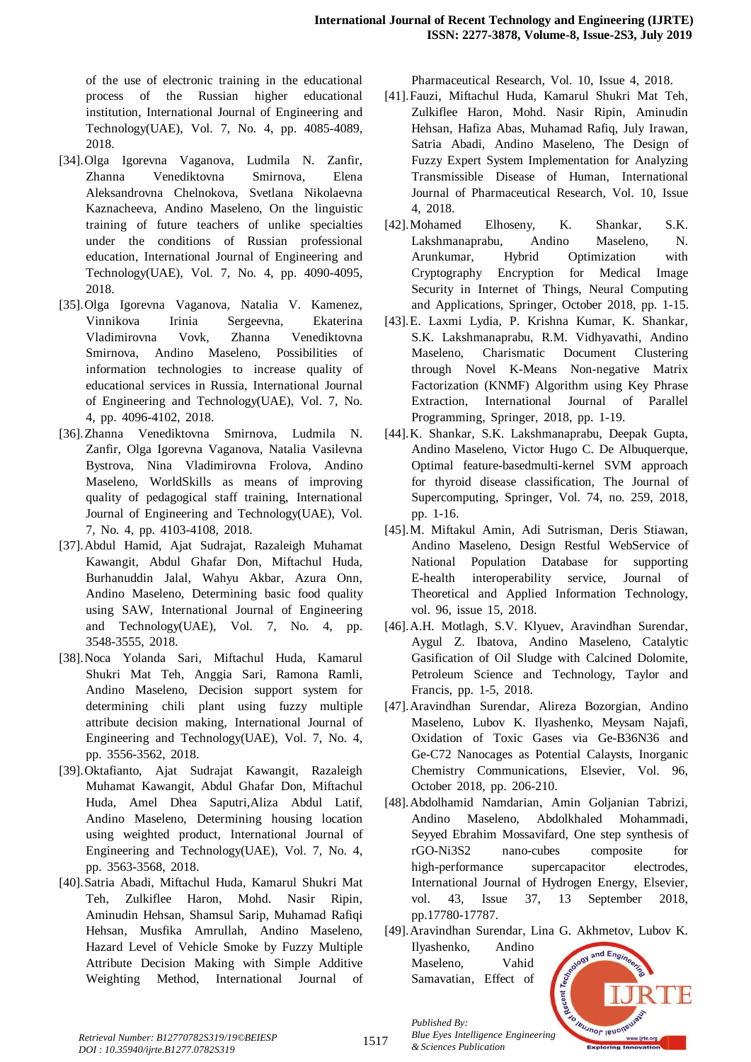of the use of electronic training in the educational process of the Russian higher educational institution, International Journal of Engineering and Technology(UAE), Vol. 7, No. 4, pp. 4085-4089, 2018.

- [34].Olga Igorevna Vaganova, Ludmila N. Zanfir, Zhanna Venediktovna Smirnova, Elena Aleksandrovna Chelnokova, Svetlana Nikolaevna Kaznacheeva, Andino Maseleno, On the linguistic training of future teachers of unlike specialties under the conditions of Russian professional education, International Journal of Engineering and Technology(UAE), Vol. 7, No. 4, pp.  $4090-4095$ , 2018.
- [35].Olga Igorevna Vaganova, Natalia V. Kamenez, Vinnikova Irinia Sergeevna, Ekaterina Vladimirovna Vovk, Zhanna Venediktovna Smirnova, Andino Maseleno, Possibilities of information technologies to increase quality of educational services in Russia, International Journal of Engineering and Technology(UAE), Vol. 7, No. 4, pp. 4096-4102, 2018.
- [36].Zhanna Venediktovna Smirnova, Ludmila N. Zanfir, Olga Igorevna Vaganova, Natalia Vasilevna Bystrova, Nina Vladimirovna Frolova, Andino Maseleno, WorldSkills as means of improving quality of pedagogical staff training, International Journal of Engineering and Technology(UAE), Vol. 7, No. 4, pp. 4103-4108, 2018.
- [37]. Abdul Hamid, Ajat Sudrajat, Razaleigh Muhamat Kawangit, Abdul Ghafar Don, Miftachul Huda, Burhanuddin Jalal, Wahyu Akbar, Azura Onn, Andino Maseleno, Determining basic food quality using SAW, International Journal of Engineering and Technology(UAE), Vol. 7, No. 4, pp. 3548-3555, 2018.
- [38].Noca Yolanda Sari, Miftachul Huda, Kamarul Shukri Mat Teh, Anggia Sari, Ramona Ramli, Andino Maseleno, Decision support system for determining chili plant using fuzzy multiple attribute decision making, International Journal of Engineering and Technology(UAE), Vol. 7, No. 4, pp. 3556-3562, 2018.
- [39].Oktafianto, Ajat Sudrajat Kawangit, Razaleigh Muhamat Kawangit, Abdul Ghafar Don, Miftachul Huda, Amel Dhea Saputri,Aliza Abdul Latif, Andino Maseleno, Determining housing location using weighted product, International Journal of Engineering and Technology(UAE), Vol. 7, No. 4, pp. 3563-3568, 2018.
- [40].Satria Abadi, Miftachul Huda, Kamarul Shukri Mat Teh, Zulkiflee Haron, Mohd. Nasir Ripin, Aminudin Hehsan, Shamsul Sarip, Muhamad Rafiqi Hehsan, Musfika Amrullah, Andino Maseleno, Hazard Level of Vehicle Smoke by Fuzzy Multiple Attribute Decision Making with Simple Additive Weighting Method, International Journal of

Pharmaceutical Research, Vol. 10, Issue 4, 2018.

- [41]. Fauzi, Miftachul Huda, Kamarul Shukri Mat Teh, Zulkiflee Haron, Mohd. Nasir Ripin, Aminudin Hehsan, Hafiza Abas, Muhamad Rafiq, July Irawan, Satria Abadi, Andino Maseleno, The Design of Fuzzy Expert System Implementation for Analyzing Transmissible Disease of Human, International Journal of Pharmaceutical Research, Vol. 10, Issue 4, 2018.
- [42]. Mohamed Elhoseny, K. Shankar, S.K. Lakshmanaprabu, Andino Maseleno, N. Arunkumar, Hybrid Optimization with Cryptography Encryption for Medical Image Security in Internet of Things, Neural Computing and Applications, Springer, October 2018, pp. 1-15.
- [43].E. Laxmi Lydia, P. Krishna Kumar, K. Shankar, S.K. Lakshmanaprabu, R.M. Vidhyavathi, Andino Maseleno, Charismatic Document Clustering through Novel K-Means Non-negative Matrix Factorization (KNMF) Algorithm using Key Phrase Extraction, International Journal of Parallel Programming, Springer, 2018, pp. 1-19.
- [44].K. Shankar, S.K. Lakshmanaprabu, Deepak Gupta, Andino Maseleno, Victor Hugo C. De Albuquerque, Optimal feature-basedmulti-kernel SVM approach for thyroid disease classification, The Journal of Supercomputing, Springer, Vol. 74, no. 259, 2018, pp. 1-16.
- [45].M. Miftakul Amin, Adi Sutrisman, Deris Stiawan, Andino Maseleno, Design Restful WebService of National Population Database for supporting E-health interoperability service, Journal of Theoretical and Applied Information Technology, vol. 96, issue 15, 2018.
- [46].A.H. Motlagh, S.V. Klyuev, Aravindhan Surendar, Aygul Z. Ibatova, Andino Maseleno, Catalytic Gasification of Oil Sludge with Calcined Dolomite, Petroleum Science and Technology, Taylor and Francis, pp. 1-5, 2018.
- [47]. Aravindhan Surendar, Alireza Bozorgian, Andino Maseleno, Lubov K. Ilyashenko, Meysam Najafi, Oxidation of Toxic Gases via Ge-B36N36 and Ge-C72 Nanocages as Potential Calaysts, Inorganic Chemistry Communications, Elsevier, Vol. 96, October 2018, pp. 206-210.
- [48]. Abdolhamid Namdarian, Amin Goljanian Tabrizi, Andino Maseleno, Abdolkhaled Mohammadi, Seyyed Ebrahim Mossavifard, One step synthesis of rGO-Ni3S2 nano-cubes composite for high-performance supercapacitor electrodes, International Journal of Hydrogen Energy, Elsevier, vol. 43, Issue 37, 13 September 2018, pp.17780-17787.
- [49]. Aravindhan Surendar, Lina G. Akhmetov, Lubov K. Ilyashenko, Andino



*Retrieval Number: B12770782S319/19©BEIESP DOI : 10.35940/ijrte.B1277.0782S319*

*Published By: Blue Eyes Intelligence Engineering & Sciences Publication*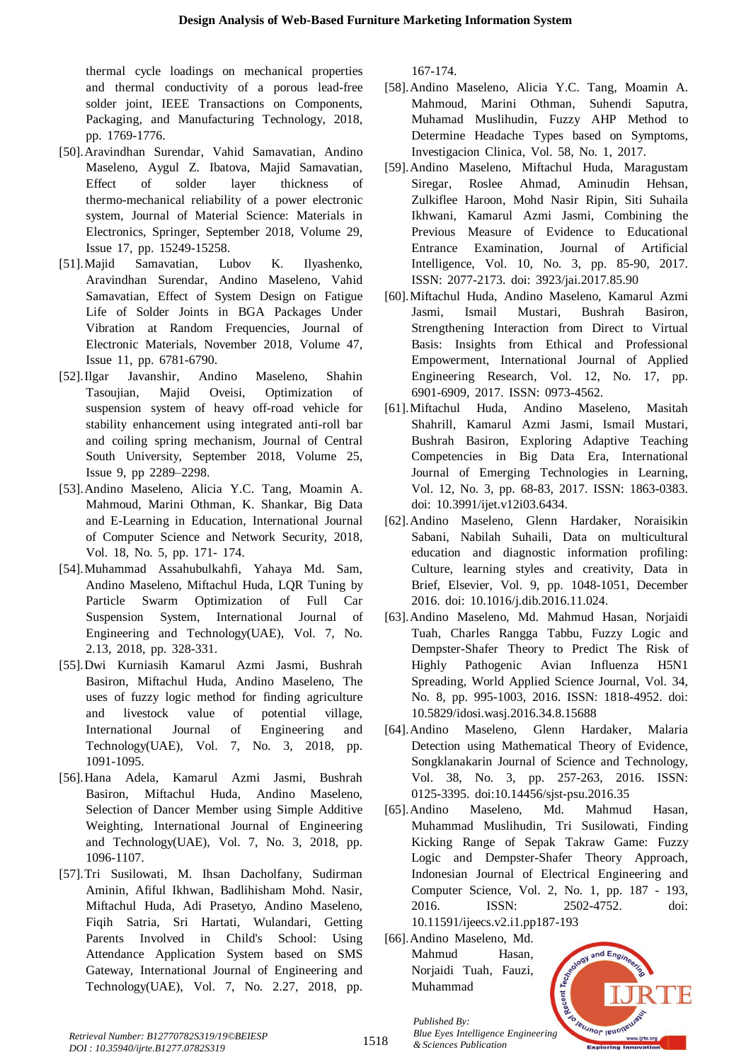thermal cycle loadings on mechanical properties and thermal conductivity of a porous lead-free solder joint, IEEE Transactions on Components, Packaging, and Manufacturing Technology, 2018, pp. 1769-1776.

- [50].Aravindhan Surendar, Vahid Samavatian, Andino Maseleno, Aygul Z. Ibatova, Majid Samavatian, Effect of solder layer thickness of thermo-mechanical reliability of a power electronic system, Journal of Material Science: Materials in Electronics, Springer, September 2018, Volume 29, Issue 17, pp. 15249-15258.
- [51]. Majid Samavatian, Lubov K. Ilyashenko, Aravindhan Surendar, Andino Maseleno, Vahid Samavatian, Effect of System Design on Fatigue Life of Solder Joints in BGA Packages Under Vibration at Random Frequencies, Journal of Electronic Materials, November 2018, Volume 47, Issue 11, pp. 6781-6790.
- [52].Ilgar Javanshir, Andino Maseleno, Shahin Tasoujian, Majid Oveisi, Optimization of suspension system of heavy off-road vehicle for stability enhancement using integrated anti-roll bar and coiling spring mechanism, Journal of Central South University, September 2018, Volume 25, Issue 9, pp  $2289 - 2298$ .
- [53].Andino Maseleno, Alicia Y.C. Tang, Moamin A. Mahmoud, Marini Othman, K. Shankar, Big Data and E-Learning in Education, International Journal of Computer Science and Network Security, 2018, Vol. 18, No. 5, pp. 171-174.
- [54].Muhammad Assahubulkahfi, Yahaya Md. Sam, Andino Maseleno, Miftachul Huda, LQR Tuning by Particle Swarm Optimization of Full Car Suspension System, International Journal of Engineering and Technology(UAE), Vol. 7, No. 2.13, 2018, pp. 328-331.
- [55].Dwi Kurniasih Kamarul Azmi Jasmi, Bushrah Basiron, Miftachul Huda, Andino Maseleno, The uses of fuzzy logic method for finding agriculture and livestock value of potential village, International Journal of Engineering and Technology(UAE), Vol. 7, No. 3, 2018, pp. 1091-1095.<sup>T</sup>
- [56].Hana Adela, Kamarul Azmi Jasmi, Bushrah Basiron, Miftachul Huda, Andino Maseleno, Selection of Dancer Member using Simple Additive Weighting, International Journal of Engineering and Technology(UAE), Vol. 7, No. 3, 2018, pp. 1096-1107.
- [57].Tri Susilowati, M. Ihsan Dacholfany, Sudirman Aminin, Afiful Ikhwan, Badlihisham Mohd. Nasir, Miftachul Huda, Adi Prasetyo, Andino Maseleno, Fiqih Satria, Sri Hartati, Wulandari, Getting Parents Involved in Child's School: Using Attendance Application System based on SMS Gateway, International Journal of Engineering and Technology(UAE), Vol. 7, No.  $2.27$ ,  $2018$ , pp.

167-174.

- [58]. Andino Maseleno, Alicia Y.C. Tang, Moamin A. Mahmoud, Marini Othman, Suhendi Saputra, Muhamad Muslihudin, Fuzzy AHP Method to Determine Headache Types based on Symptoms, Investigacion Clinica, Vol. 58, No. 1, 2017.
- [59].Andino Maseleno, Miftachul Huda, Maragustam Siregar, Roslee Ahmad, Aminudin Hehsan, Zulkiflee Haroon, Mohd Nasir Ripin, Siti Suhaila Ikhwani, Kamarul Azmi Jasmi, Combining the Previous Measure of Evidence to Educational Entrance Examination, Journal of Artificial Intelligence, Vol. 10, No. 3, pp. 85-90, 2017. ISSN: 2077-2173. doi: 3923/jai.2017.85.90
- [60]. Miftachul Huda, Andino Maseleno, Kamarul Azmi Jasmi, Ismail Mustari, Bushrah Basiron, Strengthening Interaction from Direct to Virtual Basis: Insights from Ethical and Professional Empowerment, International Journal of Applied Engineering Research, Vol. 12, No. 17, pp. 6901-6909, 2017. ISSN: 0973-4562.
- [61]. Miftachul Huda, Andino Maseleno, Masitah Shahrill, Kamarul Azmi Jasmi, Ismail Mustari, Bushrah Basiron, Exploring Adaptive Teaching Competencies in Big Data Era, International Journal of Emerging Technologies in Learning, Vol. 12, No. 3, pp. 68-83, 2017. ISSN: 1863-0383. doi: 10.3991/ijet.v12i03.6434.
- [62].Andino Maseleno, Glenn Hardaker, Noraisikin Sabani, Nabilah Suhaili, Data on multicultural education and diagnostic information profiling: Culture, learning styles and creativity, Data in Brief, Elsevier, Vol. 9, pp. 1048-1051, December 2016. doi: 10.1016/j.dib.2016.11.024.
- [63]. Andino Maseleno, Md. Mahmud Hasan, Norjaidi Tuah, Charles Rangga Tabbu, Fuzzy Logic and Dempster-Shafer Theory to Predict The Risk of Highly Pathogenic Avian Influenza H5N1 Spreading, World Applied Science Journal, Vol. 34, No. 8, pp. 995-1003, 2016. ISSN: 1818-4952. doi: 10.5829/idosi.wasj.2016.34.8.15688
- [64]. Andino Maseleno, Glenn Hardaker, Malaria Detection using Mathematical Theory of Evidence, Songklanakarin Journal of Science and Technology, Vol. 38, No. 3, pp. 257-263, 2016. ISSN: 0125-3395. doi:10.14456/sjst-psu.2016.35
- [65].Andino Maseleno, Md. Mahmud Hasan, Muhammad Muslihudin, Tri Susilowati, Finding Kicking Range of Sepak Takraw Game: Fuzzy Logic and Dempster-Shafer Theory Approach, Indonesian Journal of Electrical Engineering and Computer Science, Vol. 2, No. 1, pp. 187 - 193, 2016. **ISSN:** 2502-4752. doi: 10.11591/ijeecs.v2.i1.pp187-193
- [66]. Andino Maseleno, Md. Mahmud Hasan. Norjaidi Tuah, Fauzi, Muhammad

*& Sciences Publication* 

*Published By:*



*Retrieval Number: B12770782S319/19©BEIESP DOI : 10.35940/ijrte.B1277.0782S319*